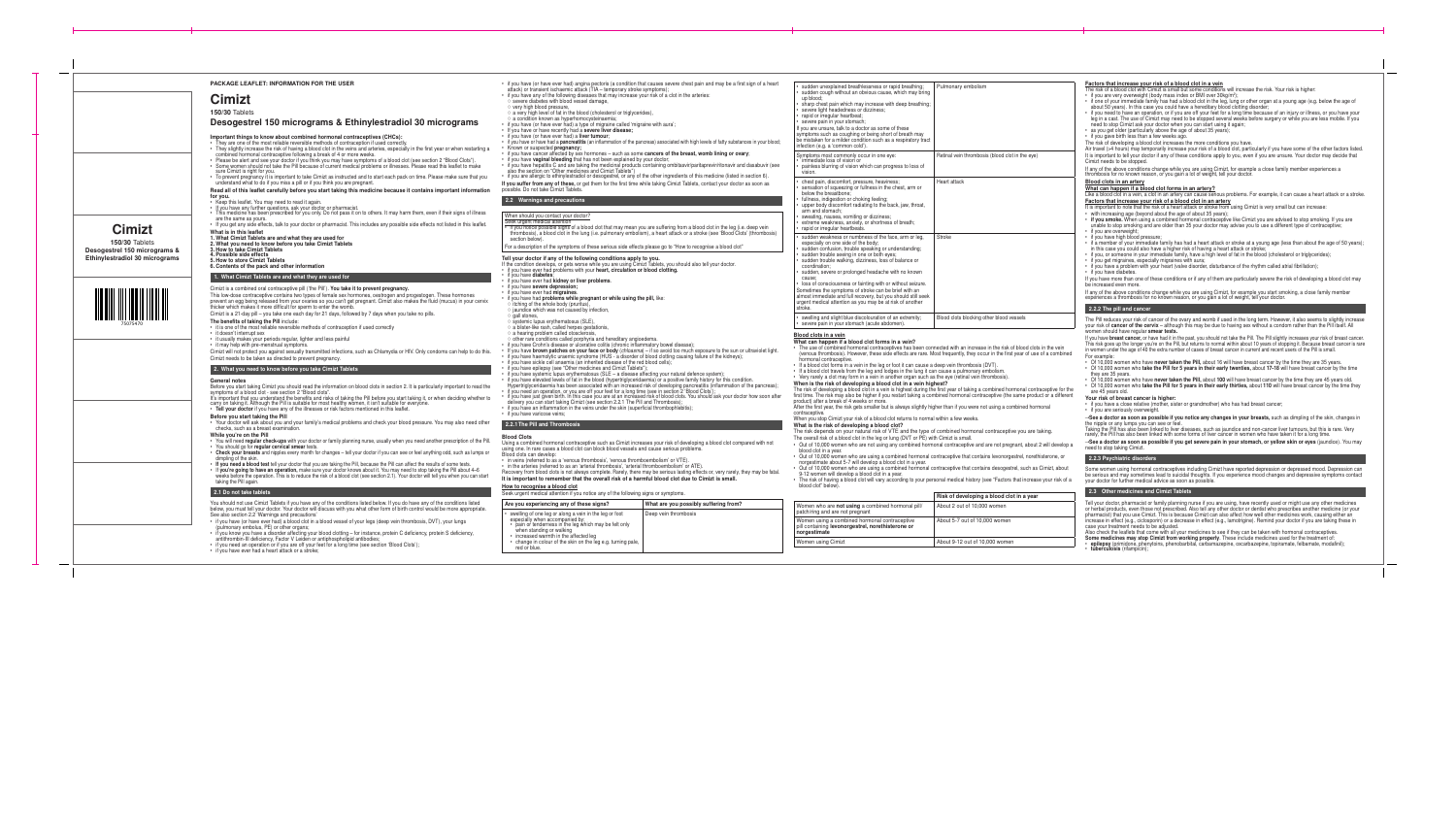| igina pectoris (a condition that causes severe chest pain and may be a first sign of a heart<br>ack (TIA - temporary stroke symptoms);                                                | sudden unexplained breathlessness or rapid breathing;                                                                                                                                               | Pulmonary embolism                                                                                                                 | Factors that increase your risk of a blood clot in a vein<br>The risk of a blood clot with Cimizt is small but some conditions will increase the risk. Your risk is higher:                                                                                                                                                                           |
|---------------------------------------------------------------------------------------------------------------------------------------------------------------------------------------|-----------------------------------------------------------------------------------------------------------------------------------------------------------------------------------------------------|------------------------------------------------------------------------------------------------------------------------------------|-------------------------------------------------------------------------------------------------------------------------------------------------------------------------------------------------------------------------------------------------------------------------------------------------------------------------------------------------------|
| iseases that may increase your risk of a clot in the arteries:<br>ssel damage,                                                                                                        | sudden cough without an obvious cause, which may bring<br>up blood:<br>sharp chest pain which may increase with deep breathing;<br>severe light headedness or dizziness;                            |                                                                                                                                    | • if you are very overweight (body mass index or BMI over 30kg/m <sup>2</sup> );<br>• if one of your immediate family has had a blood clot in the leg, lung or other organ at a young age (e.g. below the age of<br>about 50 years). In this case you could have a hereditary blood clotting disorder;                                                |
| lood (cholesterol or triglycerides),<br>mocysteinaemia;                                                                                                                               | rapid or irregular heartbeat;                                                                                                                                                                       |                                                                                                                                    | . if you need to have an operation, or if you are off your feet for a long time because of an injury or illness, or you have your<br>leg in a cast. The use of Cimizt may need to be stopped several weeks before surgery or while you are less mobile. If you                                                                                        |
| type of migraine called 'migraine with aura';<br>a severe liver disease;                                                                                                              | severe pain in your stomach;<br>If you are unsure, talk to a doctor as some of these                                                                                                                |                                                                                                                                    | need to stop Cimizt ask your doctor when you can start using it again;                                                                                                                                                                                                                                                                                |
| liver tumour:                                                                                                                                                                         | symptoms such as coughing or being short of breath may<br>be mistaken for a milder condition such as a respiratory tract                                                                            |                                                                                                                                    | • as you get older (particularly above the age of about 35 years);<br>• if you gave birth less than a few weeks ago.                                                                                                                                                                                                                                  |
| itis (an inflammation of the pancreas) associated with high levels of fatty substances in your blood;                                                                                 | infection (e.g. a 'common cold')                                                                                                                                                                    |                                                                                                                                    | The risk of developing a blood clot increases the more conditions you have.<br>Air travel (>4 hours) may temporarily increase your risk of a blood clot, particularly if you have some of the other factors listed.                                                                                                                                   |
| $\frac{1}{2}$ hormones – such as some cancers of the breast, womb lining or ovary;<br>at has not been explained by your doctor;                                                       | Symptoms most commonly occur in one eye:<br>· immediate loss of vision or                                                                                                                           | Retinal vein thrombosis (blood clot in the eye)                                                                                    | It is important to tell your doctor if any of these conditions apply to you, even if you are unsure. Your doctor may decide that                                                                                                                                                                                                                      |
| king the medicinal products containing ombitasvir/paritaprevir/ritonavir and dasabuvir (see<br>ines and Cimizt Tablets")                                                              | painless blurring of vision which can progress to loss of                                                                                                                                           |                                                                                                                                    | Cimizt needs to be stopped.<br>If any of the above conditions change while you are using Cimizt, for example a close family member experiences a                                                                                                                                                                                                      |
| liol or desogestrel, or any of the other ingredients of this medicine (listed in section 6).                                                                                          | vision.<br>chest pain, discomfort, pressure, heaviness;                                                                                                                                             | Heart attack                                                                                                                       | thrombosis for no known reason, or you gain a lot of weight, tell your doctor.<br>Blood clots in an artery                                                                                                                                                                                                                                            |
| r get them for the first time while taking Cimizt Tablets, contact your doctor as soon as                                                                                             | sensation of squeezing or fullness in the chest, arm or                                                                                                                                             |                                                                                                                                    | What can happen if a blood clot forms in an artery?                                                                                                                                                                                                                                                                                                   |
|                                                                                                                                                                                       | below the breastbone:<br>fullness, indigestion or choking feeling;                                                                                                                                  |                                                                                                                                    | Like a blood clot in a vein, a clot in an artery can cause serious problems. For example, it can cause a heart attack or a stroke.<br>Factors that increase your risk of a blood clot in an artery                                                                                                                                                    |
|                                                                                                                                                                                       | upper body discomfort radiating to the back, jaw, throat,<br>arm and stomach:                                                                                                                       |                                                                                                                                    | It is important to note that the risk of a heart attack or stroke from using Cimizt is very small but can increase:                                                                                                                                                                                                                                   |
| ctor?                                                                                                                                                                                 | sweating, nausea, vomiting or dizziness;<br>extreme weakness, anxiety, or shortness of breath;                                                                                                      |                                                                                                                                    | • with increasing age (beyond about the age of about 35 years);<br>• if you smoke. When using a combined hormonal contraceptive like Cimizt you are advised to stop smoking. If you are                                                                                                                                                               |
| blood clot that may mean you are suffering from a blood clot in the leg (i.e. deep vein<br>lung (i.e. pulmonary embolism), a heart attack or a stroke (see 'Blood Clots' (thrombosis) | rapid or irregular heartbeats.                                                                                                                                                                      |                                                                                                                                    | unable to stop smoking and are older than 35 your doctor may advise you to use a different type of contraceptive;<br>• if you are overweight:                                                                                                                                                                                                         |
|                                                                                                                                                                                       | sudden weakness or numbness of the face, arm or leg.<br>especially on one side of the body;                                                                                                         | Stroke                                                                                                                             | • if you have high blood pressure;<br>• if a member of your immediate family has had a heart attack or stroke at a young age (less than about the age of 50 years);                                                                                                                                                                                   |
| of these serious side effects please go to "How to recognise a blood clot"                                                                                                            | sudden confusion, trouble speaking or understanding;                                                                                                                                                |                                                                                                                                    | in this case you could also have a higher risk of having a heart attack or stroke;                                                                                                                                                                                                                                                                    |
| llowing conditions apply to you.<br>prse while you are using Cimizt Tablets, you should also tell your doctor.                                                                        | sudden trouble seeing in one or both eyes;<br>sudden trouble walking, dizziness, loss of balance or                                                                                                 |                                                                                                                                    | • if you, or someone in your immediate family, have a high level of fat in the blood (cholesterol or triglycerides);<br>• if you get migraines, especially migraines with aura;                                                                                                                                                                       |
| th your heart, circulation or blood clotting.                                                                                                                                         | coordination:<br>sudden, severe or prolonged headache with no known                                                                                                                                 |                                                                                                                                    | • if you have a problem with your heart (valve disorder, disturbance of the rhythm called atrial fibrillation);<br>• if you have diabetes.                                                                                                                                                                                                            |
| ver problems.                                                                                                                                                                         | cause<br>loss of consciousness or fainting with or without seizure.                                                                                                                                 |                                                                                                                                    | If you have more than one of these conditions or if any of them are particularly severe the risk of developing a blood clot may<br>be increased even more.                                                                                                                                                                                            |
|                                                                                                                                                                                       | Sometimes the symptoms of stroke can be brief with an                                                                                                                                               |                                                                                                                                    | If any of the above conditions change while you are using Cimizt, for example you start smoking, a close family member                                                                                                                                                                                                                                |
| pregnant or while using the pill, like:<br>ıtus),                                                                                                                                     | almost immediate and full recovery, but you should still seek<br>urgent medical attention as you may be at risk of another                                                                          |                                                                                                                                    | experiences a thrombosis for no known reason, or you gain a lot of weight, tell your doctor.                                                                                                                                                                                                                                                          |
| d by infection,                                                                                                                                                                       | stroke.                                                                                                                                                                                             |                                                                                                                                    | 2.2.2 The pill and cancer                                                                                                                                                                                                                                                                                                                             |
| (SLE),<br>s gestationis,                                                                                                                                                              | swelling and slight blue discolouration of an extremity;<br>severe pain in your stomach (acute abdomen).                                                                                            | Blood clots blocking other blood vessels                                                                                           | The Pill reduces your risk of cancer of the ovary and womb if used in the long term. However, it also seems to slightly increase<br>your risk of cancer of the cervix – although this may be due to having sex without a condom rather than the Pill itself. All<br>women should have regular smear tests.                                            |
| :lerosis.<br>rphyria and hereditary angioedema.                                                                                                                                       | Blood clots in a vein<br>What can happen if a blood clot forms in a vein?                                                                                                                           |                                                                                                                                    | If you have breast cancer, or have had it in the past, you should not take the Pill. The Pill slightly increases your risk of breast cancer.                                                                                                                                                                                                          |
| cerative colitis (chronic inflammatory bowel disease);<br>our face or body (chloasma) – if so avoid too much exposure to the sun or ultraviolet light.                                | • The use of combined hormonal contraceptives has been connected with an increase in the risk of blood clots in the vein                                                                            |                                                                                                                                    | This risk goes up the longer you're on the Pill, but returns to normal within about 10 years of stopping it. Because breast cancer is rare<br>in women under the age of 40 the extra number of cases of breast cancer in current and recent users of the Pill is small.                                                                               |
| yndrome (HUS - a disorder of blood clotting causing failure of the kidneys);<br>in inherited disease of the red blood cells):                                                         | hormonal contraceptive.                                                                                                                                                                             | (venous thrombosis). However, these side effects are rare. Most frequently, they occur in the first year of use of a combined      | For example:<br>• Of 10,000 women who have never taken the Pill, about 16 will have breast cancer by the time they are 35 years.                                                                                                                                                                                                                      |
| medicines and Cimizt Tablets")                                                                                                                                                        | • If a blood clot forms in a vein in the leg or foot it can cause a deep vein thrombosis (DVT).<br>• If a blood clot travels from the leg and lodges in the lung it can cause a pulmonary embolism. |                                                                                                                                    | • Of 10,000 women who take the Pill for 5 years in their early twenties, about 17-18 will have breast cancer by the time                                                                                                                                                                                                                              |
| matosus (SLE – a disease affecting your natural defence system);<br>n the blood (hypertriglyceridaemia) or a positive family history for this condition.                              | • Very rarely a clot may form in a vein in another organ such as the eye (retinal vein thrombosis).                                                                                                 |                                                                                                                                    | they are 35 years.<br>• Of 10,000 women who have never taken the Pill, about 100 will have breast cancer by the time they are 45 years old.                                                                                                                                                                                                           |
| associated with an increased risk of developing pancreatitis (inflammation of the pancreas);<br>are off your feet for a long time (see in section 2 'Blood Clots');                   | When is the risk of developing a blood clot in a vein highest?                                                                                                                                      | The risk of developing a blood clot in a vein is highest during the first year of taking a combined hormonal contraceptive for the | • Of 10,000 women who take the Pill for 5 years in their early thirties, about 110 will have breast cancer by the time they<br>are 45 years old.                                                                                                                                                                                                      |
| s case you are at an increased risk of blood clots. You should ask your doctor how soon after<br>izt (see section 2.2.1 The Pill and Thrombosis);                                     | product) after a break of 4 weeks or more.                                                                                                                                                          | first time. The risk may also be higher if you restart taking a combined hormonal contraceptive (the same product or a different   | Your risk of breast cancer is higher:                                                                                                                                                                                                                                                                                                                 |
| e veins under the skin (superficial thrombophlebitis);                                                                                                                                | After the first year, the risk gets smaller but is always slightly higher than if you were not using a combined hormonal                                                                            |                                                                                                                                    | • if you have a close relative (mother, sister or grandmother) who has had breast cancer;<br>• if you are seriously overweight.                                                                                                                                                                                                                       |
|                                                                                                                                                                                       | contraceptive.<br>When you stop Cimizt your risk of a blood clot returns to normal within a few weeks.                                                                                              |                                                                                                                                    | -See a doctor as soon as possible if you notice any changes in your breasts, such as dimpling of the skin, changes in                                                                                                                                                                                                                                 |
|                                                                                                                                                                                       | What is the risk of developing a blood clot?<br>The risk depends on your natural risk of VTE and the type of combined hormonal contraceptive you are taking.                                        |                                                                                                                                    | the nipple or any lumps you can see or feel<br>Taking the Pill has also been linked to liver diseases, such as jaundice and non-cancer liver tumours, but this is rare. Very                                                                                                                                                                          |
| ceptive such as Cimizt increases your risk of developing a blood clot compared with not                                                                                               | The overall risk of a blood clot in the leg or lung (DVT or PE) with Cimizt is small.                                                                                                               |                                                                                                                                    | rarely, the Pill has also been linked with some forms of liver cancer in women who have taken it for a long time.<br>→See a doctor as soon as possible if you get severe pain in your stomach, or yellow skin or eyes (jaundice). You may                                                                                                             |
| ot can block blood vessels and cause serious problems.                                                                                                                                | blood clot in a year.                                                                                                                                                                               | • Out of 10,000 women who are not using any combined hormonal contraceptive and are not pregnant, about 2 will develop a           | need to stop taking Cimizt.                                                                                                                                                                                                                                                                                                                           |
| thrombosis', 'venous thromboembolism' or VTE)                                                                                                                                         | • Out of 10,000 women who are using a combined hormonal contraceptive that contains levonorgestrel, norethisterone, or<br>norgestimate about 5-7 will develop a blood clot in a year.               |                                                                                                                                    | 2.2.3 Psychiatric disorders                                                                                                                                                                                                                                                                                                                           |
| 'arterial thrombosis', 'arterial thromboembolism' or ATE).<br>vays complete. Rarely, there may be serious lasting effects or, very rarely, they may be fatal.                         | • Out of 10,000 women who are using a combined hormonal contraceptive that contains desogestrel, such as Cimizt, about<br>9-12 women will develop a blood clot in a year.                           |                                                                                                                                    | Some women using hormonal contraceptives including Cimizt have reported depression or depressed mood. Depression car                                                                                                                                                                                                                                  |
| It the overall risk of a harmful blood clot due to Cimizt is small.                                                                                                                   |                                                                                                                                                                                                     | • The risk of having a blood clot will vary according to your personal medical history (see "Factors that increase your risk of a  | be serious and may sometimes lead to suicidal thoughts. If you experience mood changes and depressive symptoms contact<br>your doctor for further medical advice as soon as possible.                                                                                                                                                                 |
| u notice any of the following signs or symptoms.                                                                                                                                      | blood clot" below).                                                                                                                                                                                 | Risk of developing a blood clot in a year                                                                                          | 2.3 Other medicines and Cimizt Tablets                                                                                                                                                                                                                                                                                                                |
| hese signs?<br>What are you possibly suffering from?                                                                                                                                  | Women who are not using a combined hormonal pill/                                                                                                                                                   | About 2 out of 10,000 women                                                                                                        | Tell your doctor, pharmacist or family planning nurse if you are using, have recently used or might use any other medicines<br>or herbal products, even those not prescribed. Also tell any other doctor or dentist who prescribes another medicine (or your                                                                                          |
| ein in the leg or foot<br>Deep vein thrombosis                                                                                                                                        | patch/ring and are not pregnant                                                                                                                                                                     |                                                                                                                                    | pharmacist) that you use Cimizt. This is because Cimizt can also affect how well other medicines work, causing either an                                                                                                                                                                                                                              |
| which may be felt only                                                                                                                                                                | Women using a combined hormonal contraceptive<br>pill containing levonorgestrel, norethisterone or                                                                                                  | About 5-7 out of 10,000 women                                                                                                      | increase in effect (e.g., ciclosporin) or a decrease in effect (e.g., lamotrigine). Remind your doctor if you are taking these in<br>case your treatment needs to be adjusted.                                                                                                                                                                        |
| cted leg                                                                                                                                                                              | norgestimate                                                                                                                                                                                        |                                                                                                                                    | Also check the leaflets that come with all your medicines to see if they can be taken with hormonal contraceptives.<br>Some medicines may stop Cimizt from working properly. These include medicines used for the treatment of:<br>• epilepsy (primidone, phenytoins, phenobarbital, carbamazepine, oxcarbazepine, topiramate, felbamate, modafinil): |
| on the leg e.g. turning pale,                                                                                                                                                         | Women using Cimizt                                                                                                                                                                                  | About 9-12 out of 10,000 women                                                                                                     |                                                                                                                                                                                                                                                                                                                                                       |

## ur risk of a blood clot in a vein

- $e^{i}$  (body mass index or BMI over 30kg/m<sup>2</sup> ); • if one of your immediate family has had a blood clot in the leg, lung or other organ at a young age (e.g. below the age of ase you could have a hereditary blood clotting disorder; eration, or if you are off your feet for a long time because of an injury or illness, or you have your
	- Cimizt may need to be stopped several weeks before surgery or while you are less mobile. If you your doctor when you can start using it again; arly above the age of about 35 years);
	- n a few weeks ago.

## what clot forms in an artery?

## er is higher:

## ical advice as soon as possible.

come with all your medicines to see if they can be taken with hormonal contraceptives. Some medicines may stop Cimizt from working properly. These include medicines used for the treatment of: • epilepsy (primidone, phenytoins, phenobarbital, carbamazepine, oxcarbazepine, topiramate, felbamate, modafinil);



• tuberculosis (rifampicin);